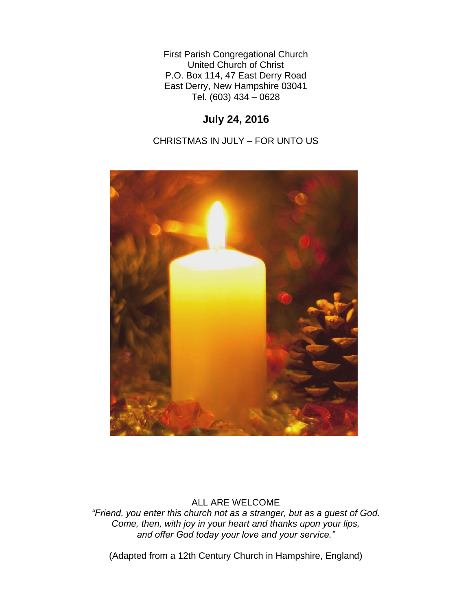First Parish Congregational Church United Church of Christ P.O. Box 114, 47 East Derry Road East Derry, New Hampshire 03041 Tel. (603) 434 – 0628

# **July 24, 2016**

CHRISTMAS IN JULY – FOR UNTO US



## ALL ARE WELCOME

*"Friend, you enter this church not as a stranger, but as a guest of God. Come, then, with joy in your heart and thanks upon your lips, and offer God today your love and your service."*

(Adapted from a 12th Century Church in Hampshire, England)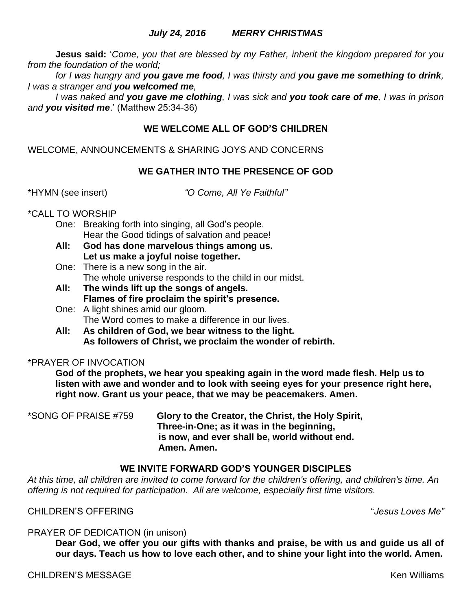### *July 24, 2016 MERRY CHRISTMAS*

**Jesus said:** '*Come, you that are blessed by my Father, inherit the kingdom prepared for you from the foundation of the world;* 

*for I was hungry and you gave me food, I was thirsty and you gave me something to drink, I was a stranger and you welcomed me,* 

*I was naked and you gave me clothing, I was sick and you took care of me, I was in prison and you visited me*.' (Matthew 25:34-36)

### **WE WELCOME ALL OF GOD'S CHILDREN**

WELCOME, ANNOUNCEMENTS & SHARING JOYS AND CONCERNS

#### **WE GATHER INTO THE PRESENCE OF GOD**

\*HYMN (see insert) *"O Come, All Ye Faithful"*

#### \*CALL TO WORSHIP

- One: Breaking forth into singing, all God's people. Hear the Good tidings of salvation and peace!
- **All: God has done marvelous things among us. Let us make a joyful noise together.**
- One: There is a new song in the air. The whole universe responds to the child in our midst.
- **All: The winds lift up the songs of angels. Flames of fire proclaim the spirit's presence.**
- One: A light shines amid our gloom. The Word comes to make a difference in our lives.
- **All: As children of God, we bear witness to the light. As followers of Christ, we proclaim the wonder of rebirth.**

#### \*PRAYER OF INVOCATION

**God of the prophets, we hear you speaking again in the word made flesh. Help us to listen with awe and wonder and to look with seeing eyes for your presence right here, right now. Grant us your peace, that we may be peacemakers. Amen.**

\*SONG OF PRAISE #759 **Glory to the Creator, the Christ, the Holy Spirit, Three-in-One; as it was in the beginning, is now, and ever shall be, world without end. Amen. Amen.**

#### **WE INVITE FORWARD GOD'S YOUNGER DISCIPLES**

*At this time, all children are invited to come forward for the children's offering, and children's time. An offering is not required for participation. All are welcome, especially first time visitors.*

CHILDREN'S OFFERING "*Jesus Loves Me"*

#### PRAYER OF DEDICATION (in unison)

**Dear God, we offer you our gifts with thanks and praise, be with us and guide us all of our days. Teach us how to love each other, and to shine your light into the world. Amen.**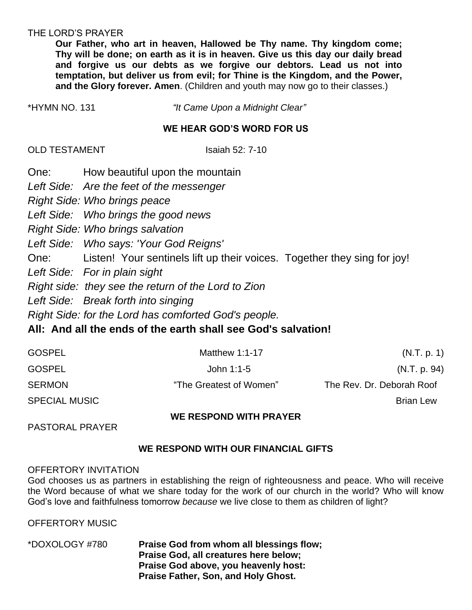### THE LORD'S PRAYER

**Our Father, who art in heaven, Hallowed be Thy name. Thy kingdom come; Thy will be done; on earth as it is in heaven. Give us this day our daily bread and forgive us our debts as we forgive our debtors. Lead us not into temptation, but deliver us from evil; for Thine is the Kingdom, and the Power, and the Glory forever. Amen**. (Children and youth may now go to their classes.)

| *HYMN NO. 131 | "It Came Upon a Midnight Clear" |
|---------------|---------------------------------|
|---------------|---------------------------------|

### **WE HEAR GOD'S WORD FOR US**

OLD TESTAMENT ISAiah 52: 7-10

One: How beautiful upon the mountain *Left Side: Are the feet of the messenger Right Side: Who brings peace Left Side: Who brings the good news Right Side: Who brings salvation Left Side: Who says: 'Your God Reigns'* One: Listen! Your sentinels lift up their voices. Together they sing for joy! *Left Side: For in plain sight Right side: they see the return of the Lord to Zion Left Side: Break forth into singing*

*Right Side: for the Lord has comforted God's people.*

## **All: And all the ends of the earth shall see God's salvation!**

| <b>GOSPEL</b>        | Matthew $1:1-17$        | (N.T. p. 1)               |
|----------------------|-------------------------|---------------------------|
| <b>GOSPEL</b>        | John 1:1-5              | (N.T. p. 94)              |
| <b>SERMON</b>        | "The Greatest of Women" | The Rev. Dr. Deborah Roof |
| <b>SPECIAL MUSIC</b> |                         | <b>Brian Lew</b>          |
|                      | .                       |                           |

### **WE RESPOND WITH PRAYER**

PASTORAL PRAYER

## **WE RESPOND WITH OUR FINANCIAL GIFTS**

## OFFERTORY INVITATION

God chooses us as partners in establishing the reign of righteousness and peace. Who will receive the Word because of what we share today for the work of our church in the world? Who will know God's love and faithfulness tomorrow *because* we live close to them as children of light?

OFFERTORY MUSIC

\*DOXOLOGY #780 **Praise God from whom all blessings flow; Praise God, all creatures here below; Praise God above, you heavenly host: Praise Father, Son, and Holy Ghost.**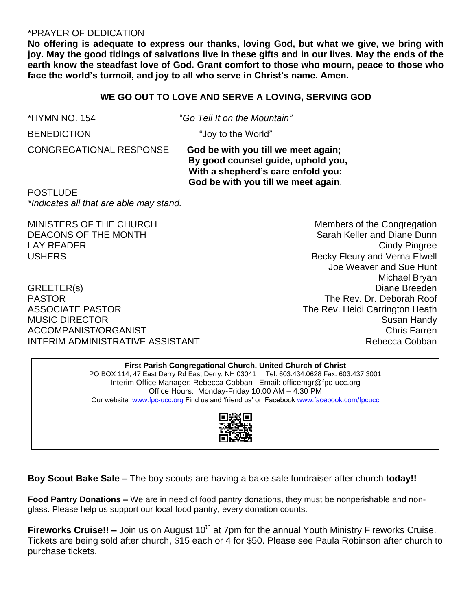### \*PRAYER OF DEDICATION

**No offering is adequate to express our thanks, loving God, but what we give, we bring with joy. May the good tidings of salvations live in these gifts and in our lives. May the ends of the earth know the steadfast love of God. Grant comfort to those who mourn, peace to those who face the world's turmoil, and joy to all who serve in Christ's name. Amen.**

#### **WE GO OUT TO LOVE AND SERVE A LOVING, SERVING GOD**

\*HYMN NO. 154 "*Go Tell It on the Mountain"*

BENEDICTION "Joy to the World"

CONGREGATIONAL RESPONSE**God be with you till we meet again; By good counsel guide, uphold you, With a shepherd's care enfold you: God be with you till we meet again**.

POSTLUDE *\*Indicates all that are able may stand.*

PASTOR The Rev. Dr. Deborah Roof ASSOCIATE PASTOR **The Rev. Heidi Carrington Heath** MUSIC DIRECTOR **Susan Handy** Susan Handy Susan Handy Susan Handy Susan Handy Susan Handy Susan Handy Susan Handy ACCOMPANIST/ORGANIST Chris Farren INTERIM ADMINISTRATIVE ASSISTANT **Rebecca Cobban** 

MINISTERS OF THE CHURCH MINISTERS OF THE CHURCH DEACONS OF THE MONTH SARAH SARAH SARAH Keller and Diane Dunn LAY READER Cindy Pingree USHERS **Becky Fleury and Verna Elwell** Joe Weaver and Sue Hunt Michael Bryan GREETER(s) Diane Breeden

#### **First Parish Congregational Church, United Church of Christ** PO BOX 114, 47 East Derry Rd East Derry, NH 03041 Tel. 603.434.0628 Fax. 603.437.3001 Interim Office Manager: Rebecca Cobban Email: officemgr@fpc-ucc.org Office Hours: Monday-Friday 10:00 AM – 4:30 PM Our website [www.fpc-ucc.org](http://www.fpc-ucc.org/) Find us and 'friend us' on Faceboo[k www.facebook.com/fpcucc](http://www.facebook.com/fpcucc)



**Boy Scout Bake Sale –** The boy scouts are having a bake sale fundraiser after church **today!!**

**Food Pantry Donations –** We are in need of food pantry donations, they must be nonperishable and nonglass. Please help us support our local food pantry, every donation counts.

**Fireworks Cruise!! –** Join us on August 10<sup>th</sup> at 7pm for the annual Youth Ministry Fireworks Cruise. Tickets are being sold after church, \$15 each or 4 for \$50. Please see Paula Robinson after church to purchase tickets.